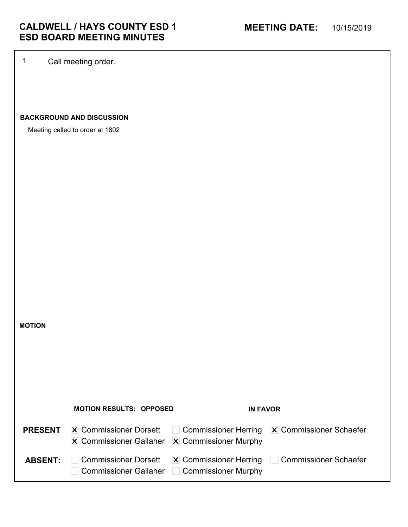1 Call meeting order.

# **BACKGROUND AND DISCUSSION**

Meeting called to order at 1802

**MOTION**

|                | <b>MOTION RESULTS: OPPOSED</b>                                                                       | <b>IN FAVOR</b>                                            |                                                                  |
|----------------|------------------------------------------------------------------------------------------------------|------------------------------------------------------------|------------------------------------------------------------------|
| <b>PRESENT</b> | $ \mathbf{X} $ Commissioner Dorsett<br>$\vert$ X Commissioner Gallaher $\vert$ X Commissioner Murphy |                                                            | $\Box$ Commissioner Herring $\overline{X}$ Commissioner Schaefer |
| <b>ABSENT:</b> | <b>Commissioner Dorsett</b><br><b>Commissioner Gallaher</b>                                          | $ \mathbf{X} $ Commissioner Herring<br>Commissioner Murphy | Commissioner Schaefer                                            |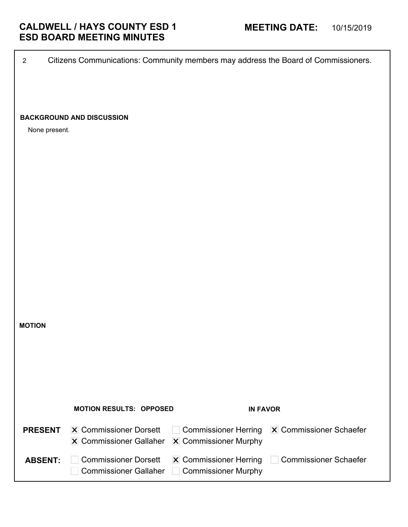2 Citizens Communications: Community members may address the Board of Commissioners.

## **BACKGROUND AND DISCUSSION**

None present.

|                | <b>MOTION RESULTS: OPPOSED</b>                                                                           | <b>IN FAVOR</b>                                            |                                                          |
|----------------|----------------------------------------------------------------------------------------------------------|------------------------------------------------------------|----------------------------------------------------------|
| <b>PRESENT</b> | <b>X</b> Commissioner Dorsett<br>$ \mathbf{X} $ Commissioner Gallaher $ \mathbf{X} $ Commissioner Murphy |                                                            | $\Box$ Commissioner Herring $\Box$ Commissioner Schaefer |
| <b>ABSENT:</b> | <b>Commissioner Dorsett</b><br><b>Commissioner Gallaher</b>                                              | $ \mathbf{X} $ Commissioner Herring<br>Commissioner Murphy | Commissioner Schaefer                                    |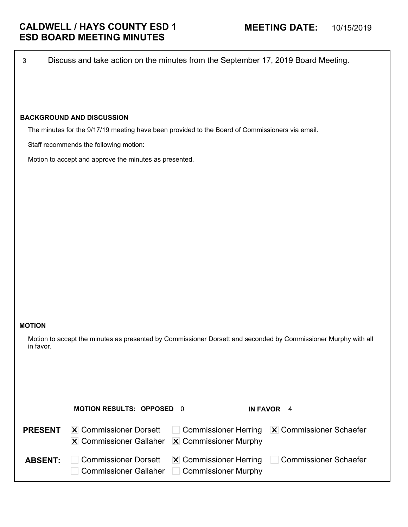3 Discuss and take action on the minutes from the September 17, 2019 Board Meeting.

# **BACKGROUND AND DISCUSSION**

The minutes for the 9/17/19 meeting have been provided to the Board of Commissioners via email.

Staff recommends the following motion:

Motion to accept and approve the minutes as presented.

#### **MOTION**

Motion to accept the minutes as presented by Commissioner Dorsett and seconded by Commissioner Murphy with all in favor.

|                | <b>MOTION RESULTS: OPPOSED 0</b>                                                                         |                                             | IN FAVOR 4                                                       |
|----------------|----------------------------------------------------------------------------------------------------------|---------------------------------------------|------------------------------------------------------------------|
| <b>PRESENT</b> | <b>X</b> Commissioner Dorsett<br>$ \mathbf{X} $ Commissioner Gallaher $ \mathbf{X} $ Commissioner Murphy |                                             | Commissioner Herring X Commissioner Schaefer                     |
| <b>ABSENT:</b> | <b>Commissioner Dorsett</b>                                                                              | Commissioner Gallaher   Commissioner Murphy | $ \mathbf{X} $ Commissioner Herring $\Box$ Commissioner Schaefer |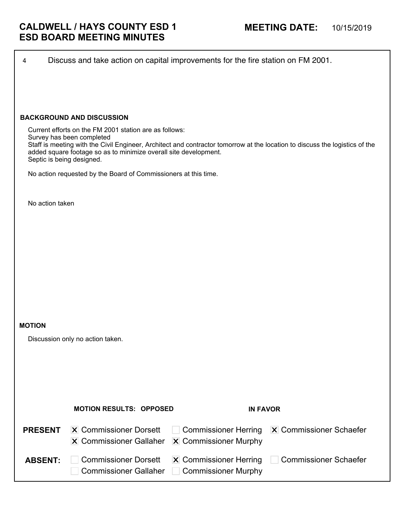| 4               | Discuss and take action on capital improvements for the fire station on FM 2001.                                                                                                     |                                                      |                                                                                                                             |
|-----------------|--------------------------------------------------------------------------------------------------------------------------------------------------------------------------------------|------------------------------------------------------|-----------------------------------------------------------------------------------------------------------------------------|
|                 |                                                                                                                                                                                      |                                                      |                                                                                                                             |
|                 |                                                                                                                                                                                      |                                                      |                                                                                                                             |
|                 | <b>BACKGROUND AND DISCUSSION</b>                                                                                                                                                     |                                                      |                                                                                                                             |
|                 | Current efforts on the FM 2001 station are as follows:<br>Survey has been completed<br>added square footage so as to minimize overall site development.<br>Septic is being designed. |                                                      | Staff is meeting with the Civil Engineer, Architect and contractor tomorrow at the location to discuss the logistics of the |
|                 | No action requested by the Board of Commissioners at this time.                                                                                                                      |                                                      |                                                                                                                             |
| No action taken |                                                                                                                                                                                      |                                                      |                                                                                                                             |
|                 |                                                                                                                                                                                      |                                                      |                                                                                                                             |
|                 |                                                                                                                                                                                      |                                                      |                                                                                                                             |
|                 |                                                                                                                                                                                      |                                                      |                                                                                                                             |
|                 |                                                                                                                                                                                      |                                                      |                                                                                                                             |
|                 |                                                                                                                                                                                      |                                                      |                                                                                                                             |
|                 |                                                                                                                                                                                      |                                                      |                                                                                                                             |
| <b>MOTION</b>   |                                                                                                                                                                                      |                                                      |                                                                                                                             |
|                 | Discussion only no action taken.                                                                                                                                                     |                                                      |                                                                                                                             |
|                 |                                                                                                                                                                                      |                                                      |                                                                                                                             |
|                 |                                                                                                                                                                                      |                                                      |                                                                                                                             |
|                 |                                                                                                                                                                                      |                                                      |                                                                                                                             |
|                 | <b>MOTION RESULTS: OPPOSED</b>                                                                                                                                                       | <b>IN FAVOR</b>                                      |                                                                                                                             |
| <b>PRESENT</b>  | <b>X</b> Commissioner Dorsett                                                                                                                                                        | <b>Commissioner Herring</b>                          | <b>X</b> Commissioner Schaefer                                                                                              |
|                 | <b>X</b> Commissioner Gallaher                                                                                                                                                       | X Commissioner Murphy                                |                                                                                                                             |
| <b>ABSENT:</b>  | <b>Commissioner Dorsett</b><br><b>Commissioner Gallaher</b>                                                                                                                          | X Commissioner Herring<br><b>Commissioner Murphy</b> | <b>Commissioner Schaefer</b>                                                                                                |
|                 |                                                                                                                                                                                      |                                                      |                                                                                                                             |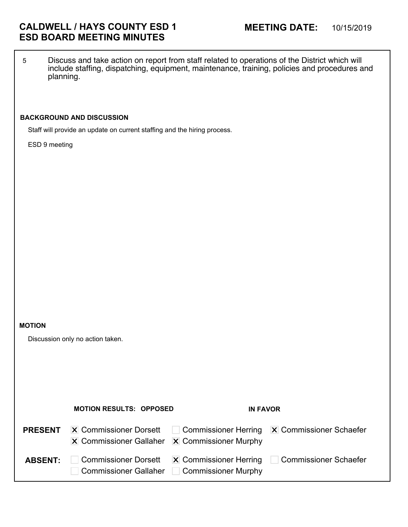5 Discuss and take action on report from staff related to operations of the District which will include staffing, dispatching, equipment, maintenance, training, policies and procedures and planning.

# **BACKGROUND AND DISCUSSION**

Staff will provide an update on current staffing and the hiring process.

ESD 9 meeting

#### **MOTION**

Discussion only no action taken.

|                | <b>MOTION RESULTS: OPPOSED</b>                                        | <b>IN FAVOR</b>                                            |                                                          |
|----------------|-----------------------------------------------------------------------|------------------------------------------------------------|----------------------------------------------------------|
| <b>PRESENT</b> | $ \mathbf{X} $ Commissioner Dorsett<br><b>X</b> Commissioner Gallaher | <b>X</b> Commissioner Murphy                               | $\Box$ Commissioner Herring $\Box$ Commissioner Schaefer |
| <b>ABSENT:</b> | <b>Commissioner Dorsett</b><br><b>Commissioner Gallaher</b>           | $ \mathbf{X} $ Commissioner Herring<br>Commissioner Murphy | Commissioner Schaefer                                    |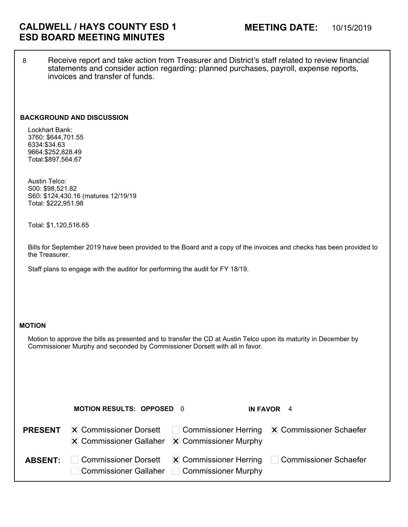8 Receive report and take action from Treasurer and District's staff related to review financial statements and consider action regarding: planned purchases, payroll, expense reports, invoices and transfer of funds.

#### **BACKGROUND AND DISCUSSION**

Lockhart Bank: 3760: \$644,701.55 6334:\$34.63 9664:\$252,828.49 Total:\$897,564.67

Austin Telco: S00: \$98,521.82 S60: \$124,430.16 (matures 12/19/19 Total: \$222,951.98

Total: \$1,120,516.65

Bills for September 2019 have been provided to the Board and a copy of the invoices and checks has been provided to the Treasurer.

Staff plans to engage with the auditor for performing the audit for FY 18/19.

### **MOTION**

Motion to approve the bills as presented and to transfer the CD at Austin Telco upon its maturity in December by Commissioner Murphy and seconded by Commissioner Dorsett with all in favor.

|                | <b>MOTION RESULTS: OPPOSED 0</b>                                                                         |                                                                   | IN FAVOR 4                                               |
|----------------|----------------------------------------------------------------------------------------------------------|-------------------------------------------------------------------|----------------------------------------------------------|
| <b>PRESENT</b> | <b>X</b> Commissioner Dorsett<br>$ \mathbf{X} $ Commissioner Gallaher $ \mathbf{X} $ Commissioner Murphy |                                                                   | $\Box$ Commissioner Herring $\Box$ Commissioner Schaefer |
| <b>ABSENT:</b> | □ Commissioner Dorsett<br>Commissioner Gallaher                                                          | $ \mathbf{X} $ Commissioner Herring<br><b>Commissioner Murphy</b> | Commissioner Schaefer                                    |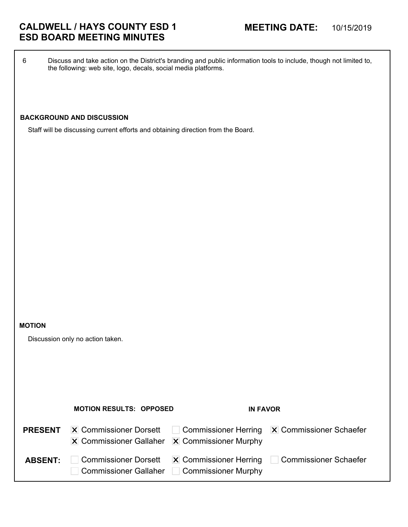# **CALDWELL / HAYS COUNTY ESD 1 MEETING DATE:** 10/15/2019 **ESD BOARD MEETING MINUTES**

6 Discuss and take action on the District's branding and public information tools to include, though not limited to, the following: web site, logo, decals, social media platforms.

# **BACKGROUND AND DISCUSSION**

Staff will be discussing current efforts and obtaining direction from the Board.

#### **MOTION**

Discussion only no action taken.

|                | <b>MOTION RESULTS: OPPOSED</b>                                                                           | <b>IN FAVOR</b>     |                                                                  |
|----------------|----------------------------------------------------------------------------------------------------------|---------------------|------------------------------------------------------------------|
| <b>PRESENT</b> | <b>X</b> Commissioner Dorsett<br>$ \mathbf{X} $ Commissioner Gallaher $ \mathbf{X} $ Commissioner Murphy |                     | Commissioner Herring X Commissioner Schaefer                     |
| <b>ABSENT:</b> | <b>Commissioner Dorsett</b><br>Commissioner Gallaher                                                     | Commissioner Murphy | $ \mathbf{X} $ Commissioner Herring $\Box$ Commissioner Schaefer |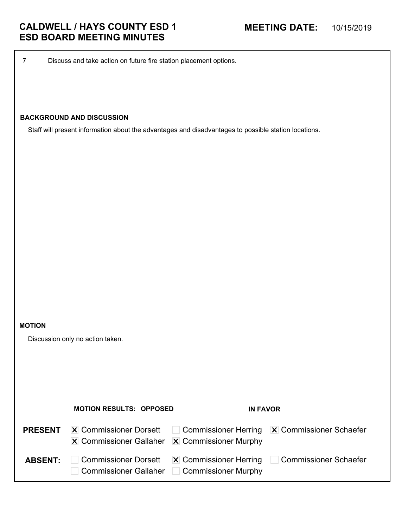7 Discuss and take action on future fire station placement options.

# **BACKGROUND AND DISCUSSION**

Staff will present information about the advantages and disadvantages to possible station locations.

#### **MOTION**

Discussion only no action taken.

|                | <b>MOTION RESULTS: OPPOSED</b>                                                                           | <b>IN FAVOR</b>                             |                                                                  |
|----------------|----------------------------------------------------------------------------------------------------------|---------------------------------------------|------------------------------------------------------------------|
| <b>PRESENT</b> | <b>X</b> Commissioner Dorsett<br>$ \mathbf{X} $ Commissioner Gallaher $ \mathbf{X} $ Commissioner Murphy |                                             | Commissioner Herring X Commissioner Schaefer                     |
| <b>ABSENT:</b> | <b>Commissioner Dorsett</b>                                                                              | Commissioner Gallaher   Commissioner Murphy | $ \mathbf{X} $ Commissioner Herring $\Box$ Commissioner Schaefer |